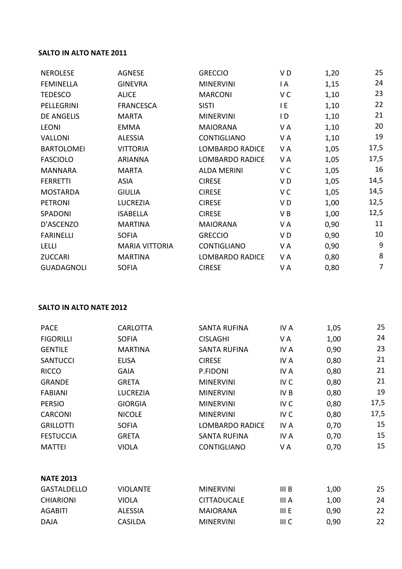## **SALTO IN ALTO NATE 2011**

| <b>NEROLESE</b>   | <b>AGNESE</b>         | <b>GRECCIO</b>         | VD             | 1,20 | 25             |
|-------------------|-----------------------|------------------------|----------------|------|----------------|
| <b>FEMINELLA</b>  | <b>GINEVRA</b>        | <b>MINERVINI</b>       | I A            | 1,15 | 24             |
| <b>TEDESCO</b>    | <b>ALICE</b>          | <b>MARCONI</b>         | V C            | 1,10 | 23             |
| PELLEGRINI        | <b>FRANCESCA</b>      | <b>SISTI</b>           | I E            | 1,10 | 22             |
| <b>DE ANGELIS</b> | <b>MARTA</b>          | <b>MINERVINI</b>       | I D            | 1,10 | 21             |
| <b>LEONI</b>      | <b>EMMA</b>           | <b>MAIORANA</b>        | VA             | 1,10 | 20             |
| <b>VALLONI</b>    | <b>ALESSIA</b>        | CONTIGLIANO            | V A            | 1,10 | 19             |
| <b>BARTOLOMEI</b> | <b>VITTORIA</b>       | <b>LOMBARDO RADICE</b> | V A            | 1,05 | 17,5           |
| <b>FASCIOLO</b>   | <b>ARIANNA</b>        | <b>LOMBARDO RADICE</b> | V A            | 1,05 | 17,5           |
| <b>MANNARA</b>    | <b>MARTA</b>          | <b>ALDA MERINI</b>     | V C            | 1,05 | 16             |
| <b>FERRETTI</b>   | <b>ASIA</b>           | <b>CIRESE</b>          | VD             | 1,05 | 14,5           |
| <b>MOSTARDA</b>   | <b>GIULIA</b>         | <b>CIRESE</b>          | V <sub>C</sub> | 1,05 | 14,5           |
| <b>PETRONI</b>    | LUCREZIA              | <b>CIRESE</b>          | V D            | 1,00 | 12,5           |
| SPADONI           | <b>ISABELLA</b>       | <b>CIRESE</b>          | V B            | 1,00 | 12,5           |
| D'ASCENZO         | <b>MARTINA</b>        | <b>MAIORANA</b>        | V A            | 0,90 | 11             |
| <b>FARINELLI</b>  | <b>SOFIA</b>          | <b>GRECCIO</b>         | V D            | 0,90 | 10             |
| <b>LELLI</b>      | <b>MARIA VITTORIA</b> | <b>CONTIGLIANO</b>     | V A            | 0,90 | 9              |
| <b>ZUCCARI</b>    | <b>MARTINA</b>        | <b>LOMBARDO RADICE</b> | V A            | 0,80 | 8              |
| <b>GUADAGNOLI</b> | <b>SOFIA</b>          | <b>CIRESE</b>          | V A            | 0,80 | $\overline{7}$ |

## **SALTO IN ALTO NATE 2012**

| <b>PACE</b>      | <b>CARLOTTA</b> | <b>SANTA RUFINA</b>    | IV A            | 1,05 | 25   |
|------------------|-----------------|------------------------|-----------------|------|------|
| <b>FIGORILLI</b> | <b>SOFIA</b>    | <b>CISLAGHI</b>        | V A             | 1,00 | 24   |
| <b>GENTILE</b>   | <b>MARTINA</b>  | <b>SANTA RUFINA</b>    | IV A            | 0,90 | 23   |
| <b>SANTUCCI</b>  | <b>ELISA</b>    | <b>CIRESE</b>          | IV A            | 0,80 | 21   |
| <b>RICCO</b>     | <b>GAIA</b>     | P.FIDONI               | IV A            | 0,80 | 21   |
| <b>GRANDE</b>    | <b>GRETA</b>    | <b>MINERVINI</b>       | IV <sub>C</sub> | 0,80 | 21   |
| <b>FABIANI</b>   | <b>LUCREZIA</b> | <b>MINERVINI</b>       | IV <sub>B</sub> | 0,80 | 19   |
| <b>PERSIO</b>    | <b>GIORGIA</b>  | <b>MINERVINI</b>       | IV <sub>C</sub> | 0,80 | 17,5 |
| <b>CARCONI</b>   | <b>NICOLE</b>   | <b>MINERVINI</b>       | IV <sub>C</sub> | 0,80 | 17,5 |
| <b>GRILLOTTI</b> | <b>SOFIA</b>    | <b>LOMBARDO RADICE</b> | IV A            | 0,70 | 15   |
| <b>FESTUCCIA</b> | <b>GRETA</b>    | <b>SANTA RUFINA</b>    | IV A            | 0,70 | 15   |
| MATTEI           | <b>VIOLA</b>    | <b>CONTIGLIANO</b>     | V A             | 0,70 | 15   |
|                  |                 |                        |                 |      |      |

## **NATE 2013**

| <b>GASTALDELLO</b> | <b>VIOLANTE</b> | <b>MINERVINI</b>   | III B | 1,00 | 25 |
|--------------------|-----------------|--------------------|-------|------|----|
| CHIARIONI          | VIOLA           | <b>CITTADUCALE</b> | III A | 1.00 | 24 |
| AGABITI            | <b>ALESSIA</b>  | <b>MAIORANA</b>    | III E | 0.90 | 22 |
| DAJA               | <b>CASILDA</b>  | <b>MINERVINI</b>   | III C | 0,90 | 22 |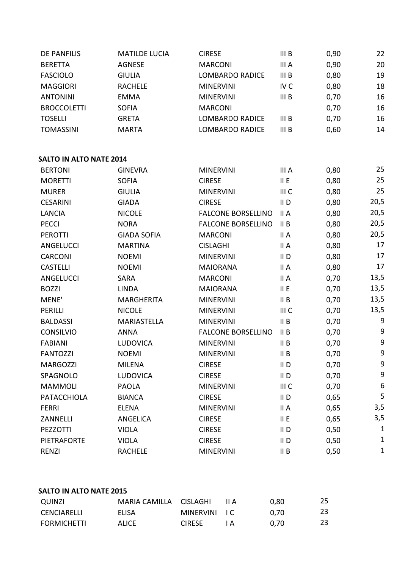| <b>DE PANFILIS</b>             | <b>MATILDE LUCIA</b> | <b>CIRESE</b>             | III B                     | 0,90 | 22               |
|--------------------------------|----------------------|---------------------------|---------------------------|------|------------------|
| <b>BERETTA</b>                 | <b>AGNESE</b>        | <b>MARCONI</b>            | III A                     | 0,90 | 20               |
| <b>FASCIOLO</b>                | <b>GIULIA</b>        | <b>LOMBARDO RADICE</b>    | III B                     | 0,80 | 19               |
| <b>MAGGIORI</b>                | <b>RACHELE</b>       | <b>MINERVINI</b>          | IV <sub>C</sub>           | 0,80 | 18               |
| <b>ANTONINI</b>                | <b>EMMA</b>          | <b>MINERVINI</b>          | III B                     | 0,70 | 16               |
| <b>BROCCOLETTI</b>             | <b>SOFIA</b>         | <b>MARCONI</b>            |                           | 0,70 | 16               |
| <b>TOSELLI</b>                 | <b>GRETA</b>         | <b>LOMBARDO RADICE</b>    | III B                     | 0,70 | 16               |
| <b>TOMASSINI</b>               | <b>MARTA</b>         | <b>LOMBARDO RADICE</b>    | III B                     | 0,60 | 14               |
| <b>SALTO IN ALTO NATE 2014</b> |                      |                           |                           |      |                  |
| <b>BERTONI</b>                 | <b>GINEVRA</b>       | <b>MINERVINI</b>          | III A                     | 0,80 | 25               |
| <b>MORETTI</b>                 | <b>SOFIA</b>         | <b>CIRESE</b>             | II E                      | 0,80 | 25               |
| <b>MURER</b>                   | <b>GIULIA</b>        | <b>MINERVINI</b>          | III C                     | 0,80 | 25               |
| <b>CESARINI</b>                | <b>GIADA</b>         | <b>CIRESE</b>             | $II$ D                    | 0,80 | 20,5             |
| <b>LANCIA</b>                  | <b>NICOLE</b>        | <b>FALCONE BORSELLINO</b> | II A                      | 0,80 | 20,5             |
| <b>PECCI</b>                   | <b>NORA</b>          | <b>FALCONE BORSELLINO</b> | II B                      | 0,80 | 20,5             |
| <b>PEROTTI</b>                 | <b>GIADA SOFIA</b>   | <b>MARCONI</b>            | II A                      | 0,80 | 20,5             |
| ANGELUCCI                      | <b>MARTINA</b>       | <b>CISLAGHI</b>           | II A                      | 0,80 | 17               |
| CARCONI                        | <b>NOEMI</b>         | <b>MINERVINI</b>          | $II$ D                    | 0,80 | 17               |
| <b>CASTELLI</b>                | <b>NOEMI</b>         | <b>MAIORANA</b>           | II A                      | 0,80 | 17               |
| ANGELUCCI                      | <b>SARA</b>          | <b>MARCONI</b>            | II A                      | 0,70 | 13,5             |
| <b>BOZZI</b>                   | <b>LINDA</b>         | <b>MAIORANA</b>           | II E                      | 0,70 | 13,5             |
| MENE'                          | <b>MARGHERITA</b>    | <b>MINERVINI</b>          | II B                      | 0,70 | 13,5             |
| PERILLI                        | <b>NICOLE</b>        | <b>MINERVINI</b>          | III C                     | 0,70 | 13,5             |
| <b>BALDASSI</b>                | <b>MARIASTELLA</b>   | <b>MINERVINI</b>          | II B                      | 0,70 | 9                |
| <b>CONSILVIO</b>               | <b>ANNA</b>          | <b>FALCONE BORSELLINO</b> | II B                      | 0,70 | $\boldsymbol{9}$ |
| <b>FABIANI</b>                 | <b>LUDOVICA</b>      | <b>MINERVINI</b>          | II B                      | 0,70 | 9                |
| <b>FANTOZZI</b>                | <b>NOEMI</b>         | <b>MINERVINI</b>          | II B                      | 0,70 | 9                |
| <b>MARGOZZI</b>                | <b>MILENA</b>        | <b>CIRESE</b>             | $\mathsf{II}\,\mathsf{D}$ | 0,70 | 9                |
| SPAGNOLO                       | <b>LUDOVICA</b>      | <b>CIRESE</b>             | $II$ D                    | 0,70 | 9                |
| <b>MAMMOLI</b>                 | <b>PAOLA</b>         | <b>MINERVINI</b>          | III C                     | 0,70 | 6                |
| <b>PATACCHIOLA</b>             | <b>BIANCA</b>        | <b>CIRESE</b>             | $II$ D                    | 0,65 | 5                |
| <b>FERRI</b>                   | <b>ELENA</b>         | <b>MINERVINI</b>          | II A                      | 0,65 | 3,5              |
| ZANNELLI                       | ANGELICA             | <b>CIRESE</b>             | II E                      | 0,65 | 3,5              |
| PEZZOTTI                       | <b>VIOLA</b>         | <b>CIRESE</b>             | $II$ D                    | 0,50 | 1                |
| <b>PIETRAFORTE</b>             | <b>VIOLA</b>         | <b>CIRESE</b>             | $II$ D                    | 0,50 | $\mathbf{1}$     |
| <b>RENZI</b>                   | <b>RACHELE</b>       | <b>MINERVINI</b>          | II B                      | 0,50 | $\mathbf 1$      |

## **SALTO IN ALTO NATE 2015**

| QUINZI             | MARIA CAMILLA CISLAGHI |               | II A | 0.80 | 25 |
|--------------------|------------------------|---------------|------|------|----|
| CENCIARELLI        | ELISA                  | MINERVINI IC  |      | 0.70 | 23 |
| <b>FORMICHETTI</b> | ALICE                  | <b>CIRESE</b> |      | 0.70 | 23 |